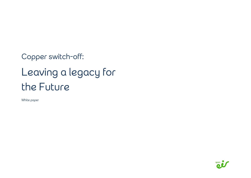Copper switch-off: Leaving a legacy for the Future

White paper

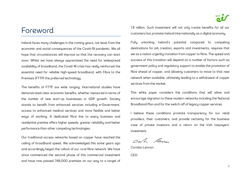# Foreword

Ireland faces many challenges in the coming years, not least from the economic and social consequences of the Covid-19 pandemic. We all hope that circumstances will improve so that the recovery can start soon. Whilst we have always appreciated the need for widespread availability of broadband, the Covid-19 crisis has really reinforced the essential need for reliable high-speed broadband, with Fibre to the Premises (FTTP) the preferred technology.

The benefits of FTTP are wide ranging. International studies have demonstrated clear economic benefits, whether measured in terms of the number of new start-up businesses or GDP growth. Society stands to benefit from enhanced services including e-Government, access to enhanced medical services and more flexible and better ways of working. A dedicated fibre line to every business and residential premise offers higher speeds, greater reliability and better performance than other competing technologies.

Our traditional access networks based on copper have reached the ceiling of broadband speed. We acknowledged this some years ago and accordingly began the rollout of our rural fibre network. We have since commenced the second phase of this commercial investment and have now passed 749,000 premises on our way to a target of 1.8 million. Such investment will not only create benefits for all our customers but promote Ireland internationally as a digital economy.

Fully unlocking Ireland's potential compared to competing destinations for job creation, exports and investments, requires that we as a nation urgently transition from copper to fibre. The speed and success of this transition will depend on a number of factors such as government policy and regulatory support to enable the promotion of fibre ahead of copper, and allowing customers to move to that new network when available, ultimately leading to a withdrawal of copper services from the market.

This white paper considers the conditions that will allow and encourage migration to these modern networks including the National Broadband Plan and for the switch-off of legacy copper services.

I believe these conditions promote transparency for our retail providers, their customers, and provide certainty for the business case of private investors and a return on the Irish taxpayers' investment.

Cash Com

Carolan Lennon

CEO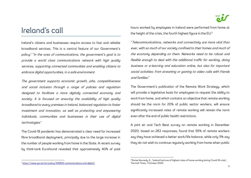# Ireland's call

Ireland's citizens and businesses require access to fast and reliable broadband services. This is a central feature of our Government's policy:<sup>1</sup> "In the area of communications, the government's goal is to provide a world class communications network with high quality services, supporting connected communities and enabling citizens to embrace digital opportunities, in a safe environment.

The government supports economic growth, jobs, competitiveness and social inclusion through a range of policies and regulation designed to facilitate a more digitally connected economy and society. It is focused on ensuring the availability of high quality broadband to every premises in Ireland, balanced regulation to foster investment and innovation, as well as protecting and empowering individuals, communities and businesses in their use of digital technologies."

The Covid-19 pandemic has demonstrated a clear need for increased fibre broadband deployment, principally due to the large increase in the number of people working from home in the State. A recent survey by think-tank Eurofound revealed that approximately 40% of paid hours worked by employees in Ireland were performed from home at the height of the crisis, the fourth highest figure in the EU:<sup>2</sup>

"Telecommunications, networks and connectivity are more vital than ever, with so much of our society confined to their homes and much of the economy depending on them. Networks need to be robust and flexible enough to deal with the additional traffic for working, doing business or e-learning and education online, but also for important social activities: from streaming or gaming to video calls with friends and families."

The Government's publication of the Remote Work Strategy, which will provide a legislative basis for employees to request the ability to work from home, and which contains an objective that remote working should be the norm for 20% of public sector workers, will ensure significantly increased rates of remote working will remain the norm even after the end of public health restrictions.

A joint eir and Tech Beat survey on remote working in December 2020, based on 263 responses, found that 55% of remote workers say they have achieved a better work/life balance, while only 11% say they do not wish to continue regularly working from home when public

<sup>&</sup>lt;sup>2</sup> Burke-Kennedy, K., 'Ireland had one of highest rates of home-working during Covid-19 crisis', The Irish Times, 1 October 2020.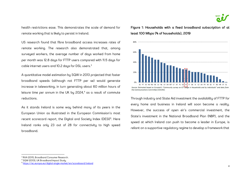

health restrictions ease. This demonstrates the scale of demand for remote working that is likely to persist in Ireland.

US research found that fibre broadband access increases rates of remote working. The research also demonstrated that, among surveyed workers, the average number of days worked from home per month was 12.8 days for FTTP users compared with 11.5 days for cable internet users and 10.2 days for DSL users.<sup>3</sup>

A quantitative model estimation by SQW in 2013 projected that faster broadband speeds (although not FTTP per se) would generate increase in teleworking, in turn generating about 60 million hours of leisure time per annum in the UK by  $2024<sup>4</sup>$  as a result of commute reductions.

As it stands Ireland is some way behind many of its peers in the European Union as illustrated in the European Commission's most recent scorecard report, the Digital and Society Index (DESI)<sup>5</sup>. Here Ireland ranks only 23 out of 28 for connectivity to high speed broadband.

Figure 1: Households with a fixed broadband subscription of at least 100 Mbps (% of households), 2019



Through industry and State Aid investment the availability of FTTP for every home and business in Ireland will soon become a reality. However, the success of open eir's commercial investment, the State's investment in the National Broadband Plan (NBP), and the speed at which Ireland can push to become a leader in Europe, is reliant on a supportive regulatory regime to develop a framework that

<sup>3</sup> RVA (2011), Broadband Consumer Research.

<sup>4</sup> SQW (2013), UK Broadband Impact Study.

<sup>5</sup> https://ec.europa.eu/digital-single-market/en/scoreboard/ireland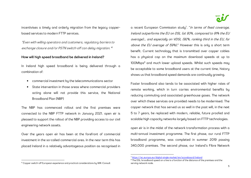

incentivises a timely and orderly migration from the legacy copperbased services to modern FTTP services.

"Even with willing operators and customers, regulatory barriers to exchange closure and/or PSTN switch-off can delay migration."<sup>6</sup>

### How will high speed broadband be delivered in Ireland?

In Ireland high speed broadband is being delivered through a combination of:

- •commercial investment by the telecommunications sector
- • State intervention in those areas where commercial providers acting alone will not provide this service, the National Broadband Plan (NBP)

The NBP has commenced rollout and the first premises were connected to the NBP FTTP network in January 2021. open eir is pleased to support the rollout of the NBP providing access to our civil engineering network assets.

Over the years open eir has been at the forefront of commercial investment in the so-called commercial area. In the near term this has placed Ireland in a relatively advantageous position as recognised in a recent European Commission study<sup>7</sup>. "In terms of fixed coverage, Ireland outperforms the EU on DSL (at 93%, compared to 91% the EU average)… and especially on VDSL (92%, ranking third in the EU, far above the EU average of 59%)." However this is only a short term benefit. Current technology that is transmitted over copper cables has a physical cap on the maximum download speeds at up to 100Mbps<sup>8</sup> and much lower upload speeds. Whilst such speeds may be acceptable to some broadband users at the current time, history shows us that broadband speed demands are continually growing.

Faster broadband also tends to be associated with higher rates of remote working, which in turn carries environmental benefits by reducing commuting and associated greenhouse gases. The network over which these services are provided needs to be modernised. The copper network that has served us so well in the past will, in the next 5 to 7 years, be replaced with modern, reliable, future proofed and scalable high capacity networks largely based on FTTP technologies.

open eir is in the midst of the network transformation process with a multi-annual investment programme. The first phase, our rural FTTP broadband programme, was completed in summer 2019 passing 340,000 premises. The second phase, our Ireland's Fibre Network

<sup>7</sup> https://ec.europa.eu/digital-single-market/en/scoreboard/ireland

 $^8$  The DSL broadband speed on a line is a function of the distance of the premises and the serving network node.

<sup>6</sup> Copper switch-off European experience and practical considerations by WIK-Consult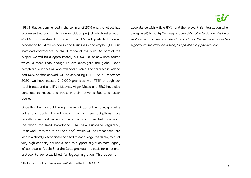(IFN) initiative, commenced in the summer of 2019 and the rollout has progressed at pace. This is an ambitious project which relies upon €500m of investment from eir. The IFN will push high speed broadband to 1.4 million homes and businesses and employ 1,000 eir staff and contractors for the duration of the build. As part of the project we will build approximately 50,000 km of new fibre routes which is more than enough to circumnavigate the <sup>g</sup>lobe. Once completed, our fibre network will cover 84% of the premises in Ireland and 90% of that network will be served by FTTP. As of December 2020, we have passed 749,000 premises with FTTP through our rural broadband and IFN initiatives. Virgin Media and SIRO have also continued to rollout and invest in their networks, but to a lesser degree.

Once the NBP rolls out through the remainder of the country on eir's poles and ducts, Ireland could have a near ubiquitous fibre broadband network, making it one of the most connected countries in the world for fixed broadband. The new European regulatory framework, referred to as the Code<sup>9</sup>, which will be transposed into Irish law shortly, recognises the need to encourage the deployment of very high capacity networks, and to support migration from legacy infrastructure. Article 81 of the Code provides the basis for a national protocol to be established for legacy migration. This paper is in accordance with Article 81(1) (and the relevant Irish legislation when transposed) to notify ComReg of open eir's "plan to decommission or replace with a new infrastructure parts of the network, including legacy infrastructure necessary to operate a copper network".

<sup>9</sup> The European Electronic Communications Code, Directive (EU) 2018/1972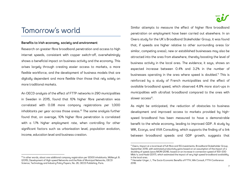# Tomorrow's world

#### Benefits to Irish economy, society and environment

Research on greater fibre broadband penetration and access to high internet speeds, consistent with copper switch-off, overwhelmingly shows a beneficial impact on business activity and the economy. This arises largely through creating easier access to markets, a more flexible workforce, and the development of business models that are digitally dependent and more flexible than those that rely solely on more traditional markets.

An OECD analysis of the effect of FTTP networks in 290 municipalities in Sweden in 2015, found that 10% higher fibre penetration was correlated with 0.08 more company registrations per 1,000 inhabitants per year across those areas.<sup>10</sup> The same analysis further found that, on average, 10% higher fibre penetration is correlated with a 1.1% higher employment rate, when controlling for other significant factors such as urbanisation level, population evolution, income, education level and business creation.

Similar attempts to measure the effect of higher fibre broadband penetration on employment have been carried out elsewhere. In an Oxera study for the UK's Broadband Stakeholder Group, it was found that, if speeds are higher relative to other surrounding areas (or similar, competing areas), new or established businesses may also be attracted into the area from elsewhere, thereby boosting the level of business activity in the local area. The evidence, it says, shows an expected increase between 0.4% and 3.2% in the number of businesses operating in the area where speed is doubled.<sup>11</sup> This is reinforced by a study of French municipalities and the effect of available broadband speed, which observed 4.8% more start-ups in municipalities with ultrafast broadband compared to the ones with slower  $access^{12}$ .

As might be anticipated, the reduction of obstacles to business development and improved access to markets provided by highspeed broadband has been measured to have a demonstrable benefit to the whole economy, leading to improved GDP. A study by WIK, Ecorys, and VVA Consulting, which supports the finding of a link between broadband speeds and GDP growth, suggests that

<sup>&</sup>lt;sup>10</sup> In other words, about one additional company registration per 12000 inhabitants, Mölleryd. B. (2015), Development of High-speed Networks and the Role of Municipal Networks, OECD Science, Technology and Industry Policy Papers, No. 26, OECD Publishing, Paris.

<sup>11</sup> Oxera, Impact at a local level of full-fibre and 5G investments, Broadband Stakeholder Group, September 2019, with estimated productivity gains based on an assumption of the impact of a doubling of speed; Ipsos MORI (2018), based on an increase in connection speed of 100–200 Mbit/s; and Hasbi (2017), which estimated the impact of very high speed broadband availability in the local area.

<sup>&</sup>lt;sup>12</sup> Henseler-Unger, I., The Socio-Economic Benefits of FTTH, Wik Consult, FTTH Conference 2018.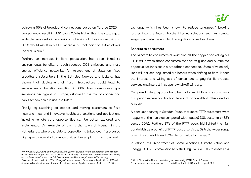achieving 55% of broadband connections based on fibre by 2025 in Europe would result in GDP levels 0.54% higher than the status quo, while the less realistic scenario of achieving all-fibre connectivity by 2025 would result in a GDP increase by that point of 0.95% above the status quo.<sup>13</sup>

Further, an increase in fibre penetration has been linked to environmental benefits, through reduced CO2 emissions and more energy efficiency networks. An assessment of data on fixed broadband subscribers in the EU (plus Norway and Iceland) has shown that deployment of fibre infrastructure could lead to environmental benefits resulting in 88% less greenhouse gas emissions per gigabit in Europe, relative to the mix of copper and cable technologies in use in 2008.<sup>14</sup>

Finally, by switching off copper and moving customers to fibre networks, new and innovative healthcare solutions and applications including remote care opportunities can be better explored and implemented. An example of this is the town of Nuenen in the Netherlands, where the elderly population is linked over fibre-based high-speed networks to create a video-based platform of community

<sup>13</sup> WIK-Consult, ECORYS and VVA Consulting (2016): Support for the preparation of the impact assessment accompanying the review of the regulatory framework for e-communications, Study for the European Commission, DG Communications Networks, Content & Technology.

<sup>14</sup> Aleksix, S. and Lovric, A. (2014), Energy Consumption and Environment Implications of Wired Access Networks, American Journal of Engineering and Applied Sciences 4 (4), pp. 531-539.

exchange which has been shown to reduce loneliness.<sup>15</sup> Looking further into the future, tactile internet solutions such as remote surgery may also be enabled through fibre-based solutions.

#### Benefits to consumers

The benefits to consumers of switching off the copper and rolling out FTTP will flow to those consumers that actively use and pursue the opportunities inherent in a broadband connection. Users of voice only lines will not see any immediate benefit when shifting to fibre. Hence the interest and willingness of consumers to pay for fibre-based services and interest in copper switch-off will vary.

Compared to legacy broadband technologies, FTTP offers consumers a superior experience both in terms of bandwidth it offers and its reliability.

A consumer survey in Sweden found that more FTTP customers were happy with their service compared with (legacy) DSL customers (82% versus 50%). Further, 87% of the FTTP users highlighted the high bandwidth as a benefit of FTTP based services, 62% the wider range of services available and 51% a better value for money.<sup>16</sup>

In Ireland, the Department of Communications, Climate Action and Energy (DCCAE) commissioned a study by PWC in 2018 to assess the

<sup>&</sup>lt;sup>15</sup> What Fibre to the Home can do for your community, FTTH Council Europe

<sup>&</sup>lt;sup>16</sup> The socio-economic impact of FTTH by WIK for the FTTH Council Europe (2018)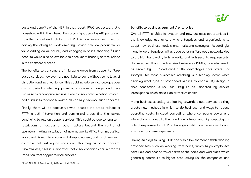costs and benefits of the NBP. In that report, PWC suggested that a household within the intervention area might benefit €740 per annum from the roll-out and uptake of FTTP. This conclusion was based on gaining the ability to work remotely, saving time on productive or value adding online activity and engaging in online shopping.<sup>17</sup> Such benefits would also be available to consumers broadly across Ireland in the commercial areas.

The benefits to consumers of migrating away from copper to fibrebased services, however, are not likely to come without some level of disruption and inconvenience. This could include service outages over a short period or when equipment at a premise is changed and there is a need to reconfigure set-ups. Here a clear communication strategy and guidelines for copper switch-off can help alleviate such concerns.

Finally, there will be consumers who, despite the broad roll-out of FTTP in both intervention and commercial areas, find themselves continuing to rely on copper services. This could be due to long term restrictions on access or other factors beyond the control of operators making installation of new networks difficult or impossible. For some this may be a source of disappointment, and for others such as those only relying on voice only this may be of no concern. Nevertheless, here it is important that clear conditions are set for the transition from copper to fibre services.

## Benefits to business segment / enterprise

Overall FTTP enables innovation and new business opportunities in the knowledge economy, driving enterprises and organisations to adopt new business models and marketing strategies. Accordingly, many large enterprises will already be using fibre optic networks due to the high bandwidth, high reliability and high security requirements. However, small and medium-size businesses (SMEs) can also easily be served by FTTP and avail of the advantages fibre offers. For example, for most businesses reliability is a leading factor when deciding what type of broadband service to choose. By design, a fibre connection is far less likely to be impacted by service interruptions which make it an attractive choice.

Many businesses today are looking towards cloud services as they create new methods in which to do business, and ways to reduce operating costs. In cloud computing, where computing power and information is moved to the cloud, low latency and high capacity are critical requirements. FTTP technologies fulfil these requirements and ensure a good user experience.

Having employees using FTTP can also allow for more flexible working arrangements such as working from home, which helps employees save time and cost of travel between the home and workplace which generally contribute to higher productivity for the companies and

<sup>17</sup> PwC, NBP Cost Benefit Analysis Report, April 2019, p.7.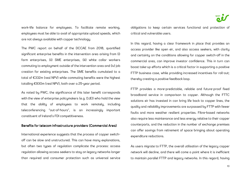work-life balance for employees. To facilitate remote working, employees must be able to avail of appropriate upload speeds, which are not always available with copper technology.

The PWC report on behalf of the DCCAE from 2018, quantified significant enterprise benefits in the intervention area arising from (i) farm enterprises, (ii) SME enterprises, (iii) white collar workers commuting to employment outside of the intervention area and (iv) job creation for existing enterprises. The SME benefits cumulated to a total of €332m (real NPV) while commuting benefits were the highest totalling €930m (real NPV), both over a 25-year period.

As noted by PWC, the significance of this later benefit corresponds with the view of enterprise policymakers (e.g. DJEI) who hold the view that the ability of employees to work remotely, including teleconferencing "out-of-hours", is an increasingly important constituent of Ireland's FDI competitiveness.

### Benefits for telecom infrastructure providers (Commercial Area)

International experience suggests that the process of copper switchoff can be slow and unstructured. This can have many explanations, but often two types of regulation complicate the process: access regulation allowing access seekers to stay on legacy networks longer than required and consumer protection such as universal service obligations to keep certain services functional and protection of critical and vulnerable users.

In this regard, having a clear framework in place that provides an access provider like open eir, and also access seekers, with clarity and certainty on the conditions allowing for copper switch-off in the commercial area, can improve investor confidence. This in turn can boost take-up efforts which is a critical factor in supporting a positive FTTP business case, while providing increased incentives for roll-out; thereby creating a positive feedback loop.

FTTP provides a more-predictable, reliable and future-proof fixed broadband service in comparison to copper. Although the FTTC solutions eir has invested in can bring life back to copper lines, the quality and reliability improvements are surpassed by FTTP with fewer faults and more weather resilient properties. Fibre-based networks also require less maintenance and less energy relative to their copper counterparts, and the reduction in the number of exchange premises can offer savings from retirement of space bringing about operating expenditure reductions.

As users migrate to FTTP, the overall utilisation of the legacy copper network will decline, and there will come a point where it is inefficient to maintain parallel FTTP and legacy networks. In this regard, having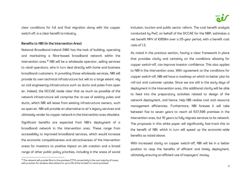clear conditions for full and final migration along with the copper switch off, is a clear benefit to industry.

## Benefits to NBI (in the Intervention Area)

National Broadband Ireland (NBI) has the task of building, operating and maintaining a fibre-based broadband network within the intervention area.<sup>18</sup> NBI will be a wholesale operator, selling services to retail operators, who in turn deal directly with home and business broadband customers. In providing those wholesale services, NBI will provide its own technical infrastructure but will to a large extent rely on civil engineering infrastructure such as ducts and poles from open eir. Indeed, the DCCAE made clear that as much as possible of the network infrastructure will comprise the re-use of existing poles and ducts, which NBI will lease from existing infrastructure owners, such as open eir. NBI will provide an alternative to eir's legacy services and ultimately render its copper network in the intervention area obsolete.

Significant benefits are expected from NBI's deployment of a broadband network in the intervention area. These range from accessibility to improved broadband services, which would increase the economic competitiveness and attractiveness of the intervention areas for investors to positive impact on job creation and a broad range of other public policy priorities, including in the areas of social inclusion, tourism and public sector reform. The cost benefit analysis conducted by PwC on behalf of the DCCAE for the NBP, estimates a net benefit NPV of €858m over a 25-year period, with a benefit cost ratio of 1.3.

As noted in the previous section, having a clear framework in place that provides clarity and certainty on the conditions allowing for copper switch-off, can improve investor confidence. This also applies to NBI in the intervention area. With agreement on the conditions for copper switch-off, NBI will have a roadmap on which to better plan its roll-out and customer uptake. Since we are still in the early days of deployment in the intervention area, this additional clarity will be able to feed into the preparatory activities related to design of the network deployment, and hence, help NBI realise cost and resource management efficiencies. Furthermore, NBI foresee it will take between five to seven years to reach all 537,596 premises in the intervention area, but 15 years to fully migrate services to its network. The proposals in this white paper will significantly fast-track this to the benefit of NBI, which in turn will speed up the economic-wide benefits as noted above.

With increased clarity on copper switch-off, NBI will be in a better position to reap the benefits of efficient and timely deployment, ultimately ensuring an efficient use of taxpayers' money.

 $^{18}$  The network will provide fibre to the premises FTTH connectivity in the vast majority of cases, with provision for wireless alternatives for up to 2% of the hardest-to-reach premises.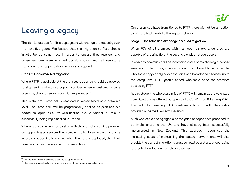# Leaving a legacy

The Irish landscape for fibre deployment will change dramatically over the next five years. We believe that the migration to fibre should initially be consumer led. In order to ensure that retailers and consumers can make informed decisions over time, a three-stage transition from copper to fibre services is required.

# Stage 1: Consumer led migration

Where FTTP is available at the premises<sup>19</sup>, open eir should be allowed to stop selling wholesale copper services when a customer moves premises, changes service or switches provider.<sup>20</sup>

This is the first "stop sell" event and is implemented at a premises level. The "stop sell" will be progressively applied as premises are added to open eir's Pre-Qualification file. A variant of this is successfully being implemented in France.

Where a customer wishes to stay with their existing service provider on copper-based services they remain free to do so. In circumstances where a copper line is inactive when the fibre is deployed, then that premises will only be eligible for ordering fibre.

Once premises have transitioned to FTTP there will not be an option to migrate backwards to the legacy network.

# Stage 2: Incentivising exchange area led migration

When 75% of all premises within an open eir exchange area are capable of ordering fibre, the second transition stage occurs.

In order to communicate the increasing costs of maintaining a copper service into the future, open eir should be allowed to increase the wholesale copper only prices for voice and broadband services, up to the entry level FTTP profile speed wholesale price for premises passed by FTTP.

At this stage, the wholesale price of FTTC will remain at the voluntary committed prices offered by open eir to ComReg on 8January 2021. This will allow existing FTTC customers to stay with their retail provider in the medium term if desired.

Such wholesale pricing signals on the price of copper are proposed to be implemented in the UK and have already been successfully implemented in New Zealand. This approach recognises the increasing costs of maintaining the legacy network and will also provide the correct migration signals to retail operators, encouraging further FTTP adoption from their customers.

<sup>&</sup>lt;sup>19</sup> This includes where a premise is passed by open eir or NBI.

<sup>&</sup>lt;sup>20</sup> This approach applies to the consumer and small business mass market only.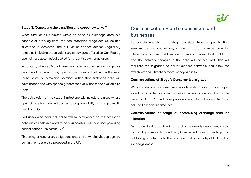

# Stage 3: Completing the transition and copper switch-off

When 95% of all premises within an open eir exchange area are capable of ordering fibre, the final transition stage occurs. As this milestone is achieved, the full list of copper access regulatory remedies including those voluntary behaviours offered to ComReg by open eir, are automatically lifted for the entire exchange area.

In addition, when 95% of all premises within an open eir exchange are capable of ordering fibre, open eir will commit that within the next three years, all remaining premises within that exchange area will have broadband with speeds greater than 30Mbps made available to them.

The calculation of the stage 3 milestone will include premises where open eir has been denied access to prepare FTTP, for example multidwelling units.

End users who have not acted will be terminated on the cessation date (unless self-declared to be a vulnerable user or a user providing critical national infrastructure).

This lifting of regulatory obligations and similar wholesale deployment commitments are also proposed in the UK.

# Communication Plan to consumers and businesses businesses

To complement the three-stage transition from copper to fibre services as set out above, a structured programme providing information to home and business owners on the availability of FTTP and the network changes in the area will be required. This will facilitate the migration to better modern networks and allow the switch-off and ultimate removal of copper lines.

## Communications at Stage 1: Consumer led migration

Within 28 days of premises being able to order fibre in an area, open eir will provide the home and business owners with information on the benefits of FTTP. It will also provide clear information on the "stop sell" and associated timelines.

# Communications at Stage 2: Incentivising exchange area led migration migration

As the availability of fibre in an exchange area is dependent on the roll-out by open eir, NBI and Siro, ComReg will have a role to play in publishing updates as to the progress and availability of FTTP within exchange areas.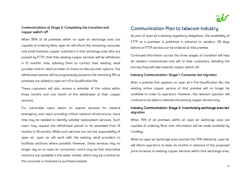

## Communications at Stage 3: Completing the transition and copper switch-off

When 95% of all premises within an open eir exchange area are capable of ordering fibre, open eir will inform the remaining consumer and small business copper customers in that exchange area who are passed by FTTP, that their existing copper services will be withdrawn in 12 months' time, advising them to contact their existing retail provider and/or retail provider of choice to discuss their options. The withdrawal notices will be progressively issued to the remaining 5% as premises are added to open eir's Pre-Qualification file.

These customers will also receive a reminder of this notice within three months and one month of the withdrawal of their copper services.

For vulnerable users reliant on special services for medical emergency and users providing critical national infrastructure, more time may be needed to identify suitable replacement services. Such users may request the withdrawal period to be extended from 12 months to 18 months. While such services are not the responsibility of open eir, open eir will work with the existing retail providers to facilitate solutions where possible. However, these services may no longer rely on an open eir connection, and it may be that alternative solutions are available in the wider market, which may be a choice for the consumer or business to purchase instead.

# Communication Plan to telecom industry

As part of open eir's existing regulatory obligations, the availability of FTTP at a premises is published in advance to retailers, 28 days before an FTTP service can be ordered at that premise.

Continued information across the three stages of transition will help all retailers communicate and sell to their customers, detailing the journey they will take towards copper switch-off.

# Industry Communication: Stage 1: Consumer led migration migration migration migration migration migration mig<br>.

After a premise first appears on open eir's Pre-Qualification file, the existing active copper service of that premise will no longer be available to order to operators. However, the relevant operator will continue to be able to maintain the existing copper service only.

## Industry Communication: Stage 2: Incentivising exchange area led migration migration

When 75% of all premises within an open eir exchange area are capable of ordering fibre, that information will be made available by ComReg.

When an open eir exchange area reaches the 75% milestone, open eir will inform operators at least six months in advance of the proposed price increase on existing copper services within that exchange area.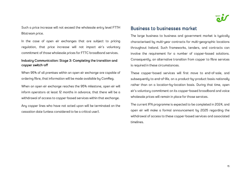

Such a price increase will not exceed the wholesale entry level FTTH Bitstream price.

In the case of open eir exchanges that are subject to pricing regulation, that price increase will not impact eir's voluntary commitment of those wholesale prices for FTTC broadband services.

## Industry Communication: Stage 3: Completing the transition and copper switch-off

When 95% of all premises within an open eir exchange are capable of ordering fibre, that information will be made available by ComReg.

When an open eir exchange reaches the 95% milestone, open eir will inform operators at least 12 months in advance, that there will be a withdrawal of access to copper-based services within that exchange.

Any copper lines who have not acted upon will be terminated on the cessation date (unless considered to be a critical user).

# Business to businesses market

The large business to business and government market is typically characterised by multi-year contracts for multi-geographic locations throughout Ireland. Such frameworks, tenders, and contracts can involve the requirement for a number of copper-based solutions. Consequently, an alternative transition from copper to fibre services is required in these circumstances.

These copper-based services will first move to end-of-sale, and subsequently to end-of-life, on a product-by-product basis nationally rather than on a location-by-location basis. During that time, open eir's voluntary commitment on its copper-based broadband and voice wholesale prices will remain in place for those services.

The current IFN programme is expected to be completed in 2024, and open eir will make a formal announcement by 2025 regarding the withdrawal of access to these copper-based services and associated timelines.